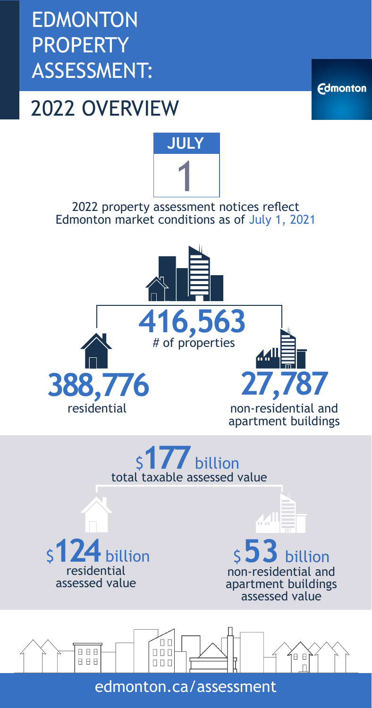EDMONTON **PROPERTY** ASSESSMENT:

## 2022 OVERVIEW

**Edmonton** 



2022 property assessment notices reflect Edmonton market conditions as of July 1, 2021





edmonton.ca/assessment

 $\Box$   $\Box$ 

 $\begin{array}{c} \square \ \square \ \square \end{array}$ 

 $\begin{array}{c} 0 \\ 0 \\ 0 \end{array}$ 



888

8 8 8



**BB**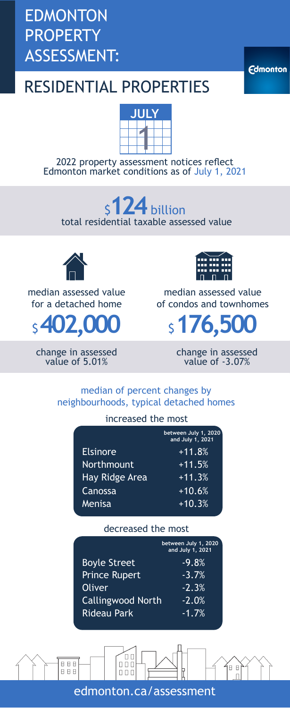### EDMONTON PROPERTY ASSESSMENT:

**Edmonton** 

### RESIDENTIAL PROPERTIES



2022 property assessment notices reflect Edmonton market conditions as of July 1, 2021

### total residential taxable assessed value \$**124**billion



median assessed value for a detached home



change in assessed value of 5.01%



median assessed value of condos and townhomes

change in assessed value of -3.07%

#### median of percent changes by neighbourhoods, typical detached homes

#### increased the most

|                       | between July 1, 2020<br>and July 1, 2021 |
|-----------------------|------------------------------------------|
| <b>Elsinore</b>       | $+11.8%$                                 |
| <b>Northmount</b>     | $+11.5%$                                 |
| <b>Hay Ridge Area</b> | $+11.3%$                                 |
| Canossa               | $+10.6%$                                 |
| Menisa                | $+10.3%$                                 |
|                       |                                          |

#### decreased the most

|                          | between July 1, 2020<br>and July 1, 2021 |
|--------------------------|------------------------------------------|
| <b>Boyle Street</b>      | $-9.8%$                                  |
| <b>Prince Rupert</b>     | $-3.7%$                                  |
| <b>Oliver</b>            | $-2.3%$                                  |
| <b>Callingwood North</b> | $-2.0%$                                  |
| <b>Rideau Park</b>       | $-1.7%$                                  |

 $\frac{1}{100}$ 8 8 8  $B$   $B$ 888  $\begin{array}{c} 0 \\ 0 \\ 0 \end{array}$ edmonton.ca/assessment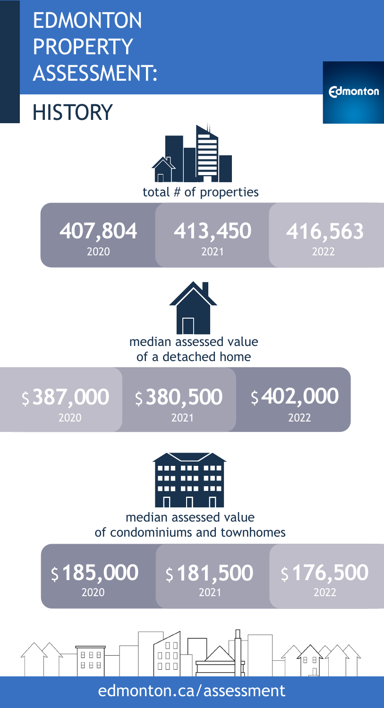### EDMONTON PROPERTY ASSESSMENT:

### **HISTORY**



**407,804 413,450 416,563** 2020 2021 2022





**Edmonton** 



#### median assessed value of condominiums and townhomes

2020 2021 2022

\$ **185,000** \$ **181,500** \$ **176,500**

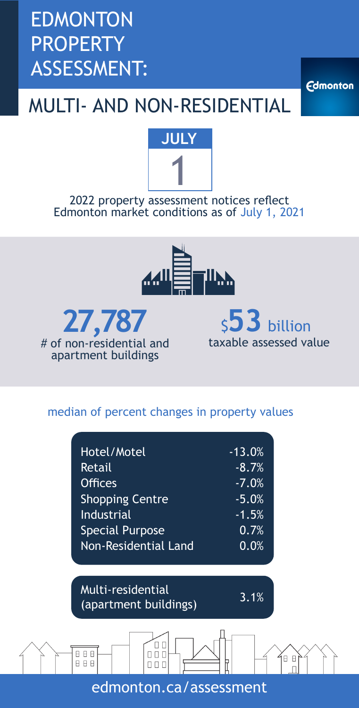### EDMONTON PROPERTY ASSESSMENT:

MULTI- AND NON-RESIDENTIAL

**Edmonton** 



2022 property assessment notices reflect Edmonton market conditions as of July 1, 2021





\$**53** billion taxable assessed value

#### median of percent changes in property values

| Hotel/Motel                 | $-13.0%$ |
|-----------------------------|----------|
| Retail                      | $-8.7%$  |
| <b>Offices</b>              | $-7.0%$  |
| <b>Shopping Centre</b>      | $-5.0%$  |
| <b>Industrial</b>           | $-1.5%$  |
| <b>Special Purpose</b>      | 0.7%     |
| <b>Non-Residential Land</b> | 0.0%     |

Multi-residential muter residential<br>(apartment buildings) 3.1%